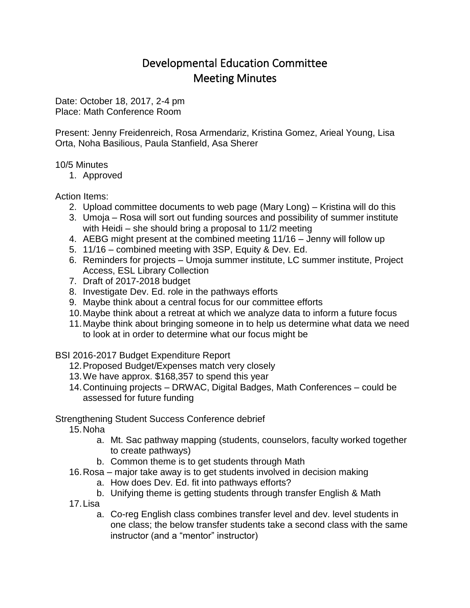## Developmental Education Committee Meeting Minutes

Date: October 18, 2017, 2-4 pm Place: Math Conference Room

Present: Jenny Freidenreich, Rosa Armendariz, Kristina Gomez, Arieal Young, Lisa Orta, Noha Basilious, Paula Stanfield, Asa Sherer

## 10/5 Minutes

1. Approved

## Action Items:

- 2. Upload committee documents to web page (Mary Long) Kristina will do this
- 3. Umoja Rosa will sort out funding sources and possibility of summer institute with Heidi – she should bring a proposal to 11/2 meeting
- 4. AEBG might present at the combined meeting 11/16 Jenny will follow up
- 5. 11/16 combined meeting with 3SP, Equity & Dev. Ed.
- 6. Reminders for projects Umoja summer institute, LC summer institute, Project Access, ESL Library Collection
- 7. Draft of 2017-2018 budget
- 8. Investigate Dev. Ed. role in the pathways efforts
- 9. Maybe think about a central focus for our committee efforts
- 10.Maybe think about a retreat at which we analyze data to inform a future focus
- 11.Maybe think about bringing someone in to help us determine what data we need to look at in order to determine what our focus might be

BSI 2016-2017 Budget Expenditure Report

- 12.Proposed Budget/Expenses match very closely
- 13.We have approx. \$168,357 to spend this year
- 14.Continuing projects DRWAC, Digital Badges, Math Conferences could be assessed for future funding

## Strengthening Student Success Conference debrief

15.Noha

- a. Mt. Sac pathway mapping (students, counselors, faculty worked together to create pathways)
- b. Common theme is to get students through Math
- 16.Rosa major take away is to get students involved in decision making
	- a. How does Dev. Ed. fit into pathways efforts?
	- b. Unifying theme is getting students through transfer English & Math
- 17.Lisa
	- a. Co-reg English class combines transfer level and dev. level students in one class; the below transfer students take a second class with the same instructor (and a "mentor" instructor)